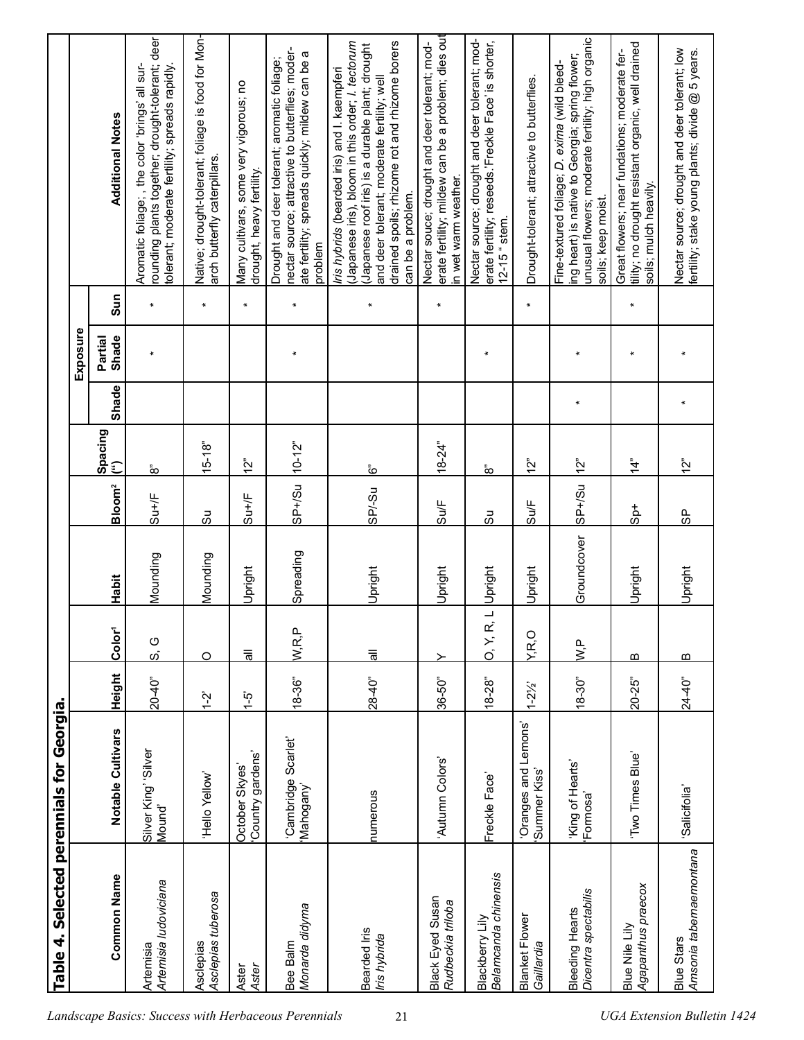|                                                      | 4<br><b>Table</b>                            | Selected perennials for Georgia      |                    |                           |             |                    |                               |         |                  |              |                                                                                                                                                                                                                                                                          |  |
|------------------------------------------------------|----------------------------------------------|--------------------------------------|--------------------|---------------------------|-------------|--------------------|-------------------------------|---------|------------------|--------------|--------------------------------------------------------------------------------------------------------------------------------------------------------------------------------------------------------------------------------------------------------------------------|--|
|                                                      |                                              |                                      |                    |                           |             |                    |                               |         | Exposure         |              |                                                                                                                                                                                                                                                                          |  |
|                                                      | <b>Common Name</b>                           | Notable Cultivars                    | Height             | Color <sup>1</sup>        | Habit       | Bloom <sup>2</sup> | Spacing<br>$\tilde{\epsilon}$ | Shade   | Shade<br>Partial | Sun          | <b>Additional Notes</b>                                                                                                                                                                                                                                                  |  |
|                                                      | Artemisia ludoviciana<br>Artemisia           | Silver King' 'Silver<br>Mound'       | 20-40"             | O<br>$\omega$             | Mounding    | Su+/F              | ံထ                            |         |                  | $\ast$       | rounding plants together; drought-tolerant; deer<br>Aromatic foliage;, the color 'brings' all sur-<br>colerant; moderate fertility; spreads rapidly.                                                                                                                     |  |
|                                                      | Asclepias tuberosa<br>Asclepias              | Molley olleH.                        | $\frac{5}{1}$      | O                         | Mounding    | යි                 | $15 - 18"$                    |         |                  | $\pmb{\ast}$ | Native; drought-tolerant; foliage is food for Mon-<br>arch butterfly caterpillars.                                                                                                                                                                                       |  |
|                                                      | Aster<br>Aster                               | Country gardens'<br>October Skyes    | نې<br>1-           | $\overline{5}$            | Upright     | $Su+/F$            | $\frac{5}{2}$                 |         |                  | $\star$      | Many cultivars, some very vigorous; no<br>drought, heavy fertility.                                                                                                                                                                                                      |  |
| Landscape Basics: Success with Herbaceous Perennials | Monarda didyma<br>Bee Balm                   | Cambridge Scarlet'<br>Mahogany'      | $18 - 36$          | W,R,P                     | Spreading   | $SP + / SU$        | $10 - 12$ "                   |         | $\ast$           | $\pmb{\ast}$ | nectar source; attractive to butterflies; moder-<br>ate fertility; spreads quickly; mildew can be a<br>Drought and deer tolerant; aromatic foliage;<br>problem                                                                                                           |  |
| 21                                                   | Bearded Iris<br>Iris hybrida                 | numerous                             | $28 - 40^{\circ}$  | $\overline{\overline{5}}$ | Upright     | $SP - Su$          | <u>مُ</u>                     |         |                  | $\pmb{\ast}$ | drained spoils; rhizome rot and rhizome borers<br>Japanese iris), bloom in this order; I. tectorum<br>Japanese roof iris) is a durable plant; drought<br>ris hybrids (bearded iris) and I. kaempferi<br>and deer tolerant; moderate fertility; well<br>can be a problem. |  |
|                                                      | Black Eyed Susan<br>Rudbeckia triloba        | 'Autumn Colors'                      | $36 - 50"$         | ≻                         | Upright     | Su/F               | $18 - 24$ "                   |         |                  | ¥            | erate fertility; mildew can be a problem; dies out<br>Nectar souce; drought and deer tolerant; mod-<br>n wet warm weather.                                                                                                                                               |  |
|                                                      | Belamcanda chinensis<br>Blackberry Lily      | Freckle Face'                        | $18 - 28$          | 0, Y, R,                  | Upright     | တိ                 | $\frac{1}{\alpha}$            |         | $\ast$           |              | Nectar source; drought and deer tolerant; mod-<br>erate fertility; reseeds.'Freckle Face' is shorter,<br>$12 - 15$ $s$ tem.                                                                                                                                              |  |
|                                                      | <b>Blanket Flower</b><br>Gaillardia          | 'Oranges and Lemons'<br>Summer Kiss' | $1 - 2\frac{1}{2}$ | Y.R,O                     | Upright     | $\frac{3}{4}$      | ن<br>أح                       |         |                  | $\star$      | Drought-tolerant; attractive to butterflies.                                                                                                                                                                                                                             |  |
|                                                      | Dicentra spectabilis<br>Bleeding Hearts      | 'King of Hearts'<br>'Formosa'        | $18 - 30$ "        | $\sum_{i=1}^{n}$          | Groundcover | $USH+SSU$          | <u>י^</u><br>ר                | $\star$ | $\ast$           |              | unusual flowers; moderate fertility; high organic<br>ing heart) is native to Georgia; spring flower;<br>Fine-textured foliage; D. exima (wild bleed-<br>soils; keep moist.                                                                                               |  |
|                                                      | Agapanthus praecox<br>Blue Nile Lily         | 'Two Times Blue'                     | $20 - 25$          | m                         | Upright     | $-48$              | $\frac{4}{4}$                 |         | $\ast$           | $\star$      | tility; no drought resistant organic, well drained<br>Great flowers; near fundations; moderate fer-<br>soils; mulch heavily.                                                                                                                                             |  |
| <b>UGA Extension Bulletin 1424</b>                   | Amsonia tabernaemontana<br><b>Blue Stars</b> | Salicifolia                          | $24 - 40"$         | m                         | Upright     | မှ                 | $\tilde{S}$                   | $\ast$  |                  |              | Nectar source; drought and deer tolerant; low<br>fertility; stake young plants; divide @ 5 years.                                                                                                                                                                        |  |
|                                                      |                                              |                                      |                    |                           |             |                    |                               |         |                  |              |                                                                                                                                                                                                                                                                          |  |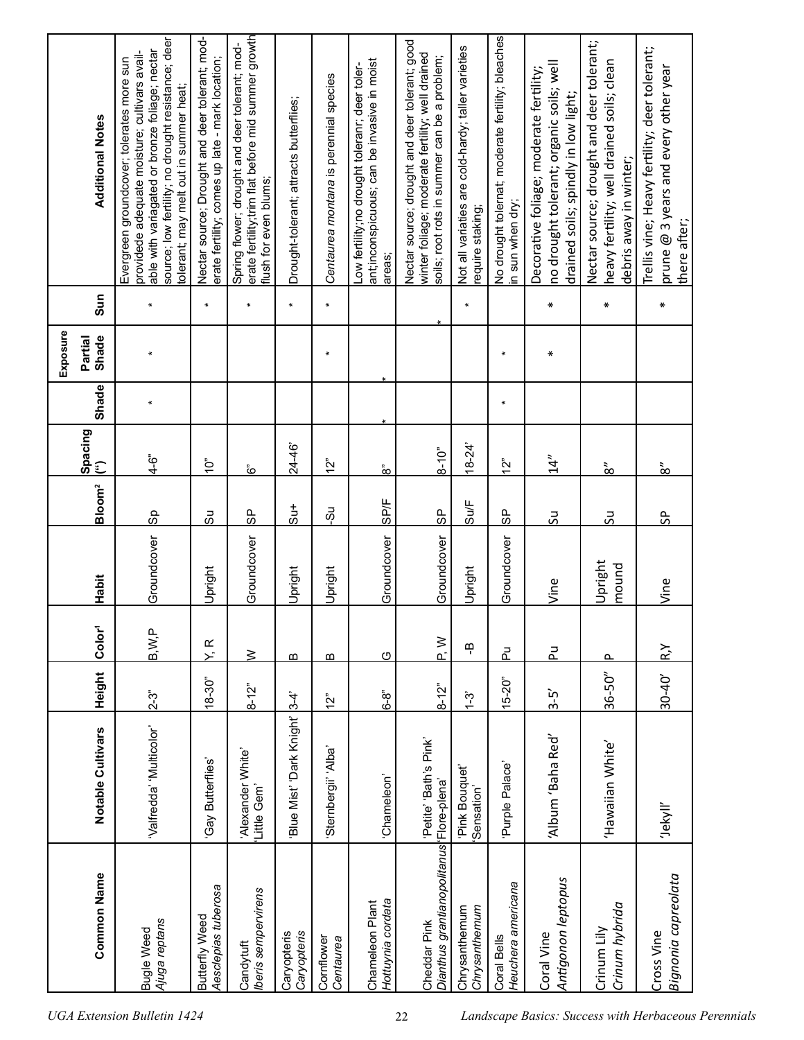|                                                          |                                  |               |                     |                  |                    |                            |        | Exposure         |              |                                                                                                                                                                                                                                              |  |
|----------------------------------------------------------|----------------------------------|---------------|---------------------|------------------|--------------------|----------------------------|--------|------------------|--------------|----------------------------------------------------------------------------------------------------------------------------------------------------------------------------------------------------------------------------------------------|--|
| <b>Common Name</b>                                       | Notable Cultivars                | Height        | Color <sup>1</sup>  | Habit            | Bloom <sup>2</sup> | Spacing<br>(")             | Shade  | Shade<br>Partial | Sun          | <b>Additional Notes</b>                                                                                                                                                                                                                      |  |
| Ajuga reptans<br><b>Bugle Weed</b>                       | "Valfredda" 'Multicolor          | $2 - 3$       | B, W, P             | Groundcover      | $\frac{6}{8}$      | ن<br>4–4                   | $\ast$ |                  | $\ast$       | source; low fertility; no drought resistance; deer<br>able with variagated or bronze foliage; nectar<br>providede adequate moisture; cultivars avail-<br>Evergreen groundcover; tolerates more sun<br>tolerant; may melt out in summer heat; |  |
| Aesclepias tuberosa<br>Butterfly Weed                    | Gay Butterflies'                 | $18 - 30"$    | $\propto$<br>$\sum$ | Upright          | යි                 | Ĵ.                         |        |                  | $\pmb{\ast}$ | Nectar source; Drought and deer tolerant; mod-<br>erate fertility; comes up late - mark location;                                                                                                                                            |  |
| beris sempervirens<br>Candytuft                          | 'Alexander White'<br>Little Gem' | $8 - 12$      | $\geq$              | Groundcover      | 95                 | وَ<br>م                    |        |                  | $\star$      | erate fertility;trim flat before mid summer growth<br>Spring flower; drought and deer tolerant; mod-<br>flush for even blums;                                                                                                                |  |
| Caryopteris<br>Caryopteris                               | Blue Mist' Dark Knight' 3-4"     |               | m                   | Upright          | $\frac{1}{5}$      | 24-46                      |        |                  | $\star$      | Drought-tolerant; attracts butterflies;                                                                                                                                                                                                      |  |
| Cornflower<br>Centaurea                                  | Sternbergii' 'Alba'              | $\frac{5}{2}$ | m                   | Upright          | ΘÓ                 | $\sum_{\alpha}$            |        | $\ast$           | $\pmb{\ast}$ | Centaurea montana is perennial species                                                                                                                                                                                                       |  |
| Hottuynia cordata<br>Chameleon Plant                     | 'Chameleon'                      | 6-8"          | $\circ$             | Groundcover      | <b>SP/F</b>        | $\hat{\mathbf{\hat{\in}}}$ |        |                  |              | ant;inconspicuous; can be invasive in moist<br>ow fertility;no drought toleranr; deer toler-<br>areas;                                                                                                                                       |  |
| Dianthus grantianopolitanus Flore-plena'<br>Cheddar Pink | Petite' 'Bath's Pink'            | $8 - 12$      | $\geq$              | Groundcover      | 95                 | $8 - 10^{1}$               |        |                  |              | Nectar source; drought and deer tolerant; good<br>winter foliage; moderate fertility; well drained<br>soils; root rots in summer can be a problem;                                                                                           |  |
| Chrysanthemum<br>Chrysanthemum                           | Pink Bouquet<br>Sensation'       | $1 - 3$       | டி                  | Upright          | $S\cup F$          | $18 - 24'$                 |        |                  | $\pmb{\ast}$ | Not all variaties are cold-hardy; taller varieties<br>equire staking;                                                                                                                                                                        |  |
| Heuchera americana<br>Coral Bells                        | Purple Palace'                   | $15 - 20$ "   | 군                   | Groundcover      | $\frac{6}{5}$      | 12"                        | ¥      | $\ast$           |              | No drought tolernat; moderate fertility; bleaches<br>n sun when dry;                                                                                                                                                                         |  |
| Antigonon leptopus<br>Coral Vine                         | Album 'Baha Red'                 | $3-5$         | 군                   | Vine             | ಸ                  | 14"                        |        | $\ast$           | $\ast$       | no drought tolerant; organic soils; well<br>Decorative foliage; moderate fertility;<br>drained soils; spindly in low light;                                                                                                                  |  |
| Crinum hybrida<br>Crinum Lily                            | 'Hawaiian White'                 | $36 - 50''$   | ௳                   | Upright<br>mound | ჯ                  | $\frac{3}{8}$              |        |                  | ∗            | Nectar source; drought and deer tolerant;<br>heavy fertility; well drained soils; clean<br>debris away in winter;                                                                                                                            |  |
| Bignonia capreolata<br>Cross Vine                        | 'Jekyll'                         | $30 - 40'$    | $R_{\lambda}$       | Vine             | ႕                  | $\frac{3}{8}$              |        |                  | ₩            | frellis vine; Heavy fertility; deer tolerant;<br>prune @ 3 years and every other year<br>there after;                                                                                                                                        |  |
|                                                          |                                  |               |                     |                  |                    |                            |        |                  |              |                                                                                                                                                                                                                                              |  |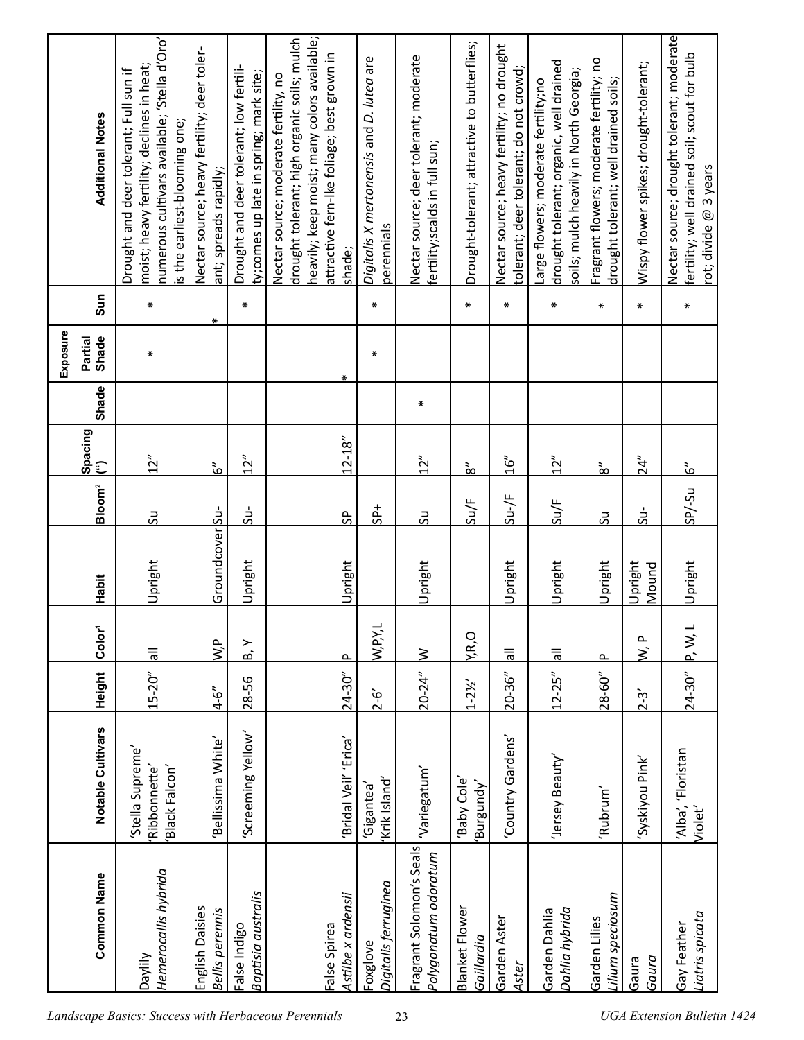| moist; heavy fertility; declines in heat;<br>Drought and deer tolerant; Full sun if<br>is the earliest-blooming one; | Nectar source; heavy fertility; deer toler-<br>ant; spreads rapidly; | Drought and deer tolerant; low fertili-<br>ty; comes up late in spring; mark site; | drought tolerant; high organic soils; mulch<br>attractive fern-Ike foliage; best grown in<br>Nectar source; moderate fertility, no<br>shade; | Digitalis X mertonensis and D. lutea are<br>perennials | Nectar source; deer tolerant; moderate<br>fertility;scalds in full sun; | Drought-tolerant; attractive to butterflies; | Nectar source; heavy fertility; no drought<br>tolerant; deer tolerant; do not crowd; | drought tolerant; organic, well drained<br>soils; mulch heavily in North Georgia;<br>arge flowers; moderate fertility;no | Fragrant flowers; moderate fertility; no<br>drought tolerant; well drained soils; | Wispy flower spikes; drought-tolerant; | Nectar source; drought tolerant; moderate<br>fertility; well drained soil; scout for bulb<br>rot; divide @ 3 years |
|----------------------------------------------------------------------------------------------------------------------|----------------------------------------------------------------------|------------------------------------------------------------------------------------|----------------------------------------------------------------------------------------------------------------------------------------------|--------------------------------------------------------|-------------------------------------------------------------------------|----------------------------------------------|--------------------------------------------------------------------------------------|--------------------------------------------------------------------------------------------------------------------------|-----------------------------------------------------------------------------------|----------------------------------------|--------------------------------------------------------------------------------------------------------------------|
| ⋇                                                                                                                    | $\ast$                                                               | $\ast$                                                                             |                                                                                                                                              | $\ast$                                                 |                                                                         | $\ast$                                       | $\ast$                                                                               | ₩                                                                                                                        | $\ast$                                                                            | $\ast$                                 | $\ast$                                                                                                             |
| ₩                                                                                                                    |                                                                      |                                                                                    | ∗                                                                                                                                            | ∗                                                      |                                                                         |                                              |                                                                                      |                                                                                                                          |                                                                                   |                                        |                                                                                                                    |
|                                                                                                                      |                                                                      |                                                                                    |                                                                                                                                              |                                                        | ∗                                                                       |                                              |                                                                                      |                                                                                                                          |                                                                                   |                                        |                                                                                                                    |
| 12"                                                                                                                  | $\tilde{\mathbf{6}}$                                                 | 12"                                                                                | $12 - 18"$                                                                                                                                   |                                                        | 12"                                                                     | $\frac{3}{8}$                                | 16''                                                                                 | 12"                                                                                                                      | $\frac{1}{\infty}$                                                                | 24"                                    | $\tilde{\mathbf{G}}$                                                                                               |
| ჯ                                                                                                                    |                                                                      | $5u-$                                                                              | ႕                                                                                                                                            | $5P+$                                                  | 50                                                                      | Su/F                                         | $\frac{1}{2}$                                                                        | Su/F                                                                                                                     | 50                                                                                | ÷rs                                    | $U-SU$                                                                                                             |
| Upright                                                                                                              |                                                                      | Upright                                                                            | Upright                                                                                                                                      |                                                        | Upright                                                                 |                                              | Upright                                                                              | Upright                                                                                                                  | Upright                                                                           | Upright<br>Mound                       | Upright                                                                                                            |
| $\overline{\overline{5}}$                                                                                            | gʻM                                                                  | ≻<br>ക്                                                                            | $\sim$                                                                                                                                       | W, P, Y, L                                             | $\geq$                                                                  | Y,R,O                                        | $\overline{\overline{6}}$                                                            | $\overline{\overline{5}}$                                                                                                | $\sim$                                                                            | ௨<br>$\dot{\mathsf{z}}$                | $P$ , W, L                                                                                                         |
| $15 - 20$ "                                                                                                          | $4 - 6''$                                                            | 28-56                                                                              | $24 - 30"$                                                                                                                                   | $2 - 6'$                                               | $20 - 24"$                                                              | $1 - 2\frac{1}{2}$                           | $20 - 36"$                                                                           | $12 - 25''$                                                                                                              | $28 - 60''$                                                                       | $2 - 3'$                               | $24 - 30"$                                                                                                         |
| 'Stella Supreme'<br>Ribbonnette'<br>Black Falcon'                                                                    | Bellissima White'                                                    | Screeming Yellow'                                                                  | 'Bridal Veil' 'Erica'                                                                                                                        | Krik Island'<br>Gigantea                               | 'Variegatum'                                                            | Baby Cole<br>Burgundy'                       | Country Gardens'                                                                     | 'Jersey Beauty'                                                                                                          | 'Rubrum'                                                                          | Syskiyou Pink'                         | 'Alba', 'Floristan<br>Violet'                                                                                      |
| Hemerocallis hybrida<br><b>Daylily</b>                                                                               | English Daisies<br>Bellis perennis                                   | Baptisia australis<br>False Indigo                                                 | Astilbe x ardensii<br>False Spirea                                                                                                           | Digitalis ferruginea<br>Foxglove                       | Fragrant Solomon's Seals<br>Polygonatum odoratum                        | <b>Blanket Flower</b><br>Gaillardia          | Garden Aster<br>Aster                                                                | Dahlia hybrida<br>Garden Dahlia                                                                                          | ilium speciosum<br>Garden Lilies                                                  | Gaura<br>Gaura                         | Liatris spicata<br>Gay Feather                                                                                     |
|                                                                                                                      | numerous cultivars available; 'Stella d'Oro'                         | Groundcover Su-                                                                    |                                                                                                                                              | heavily; keep moist; many colors available;            |                                                                         |                                              |                                                                                      |                                                                                                                          |                                                                                   |                                        |                                                                                                                    |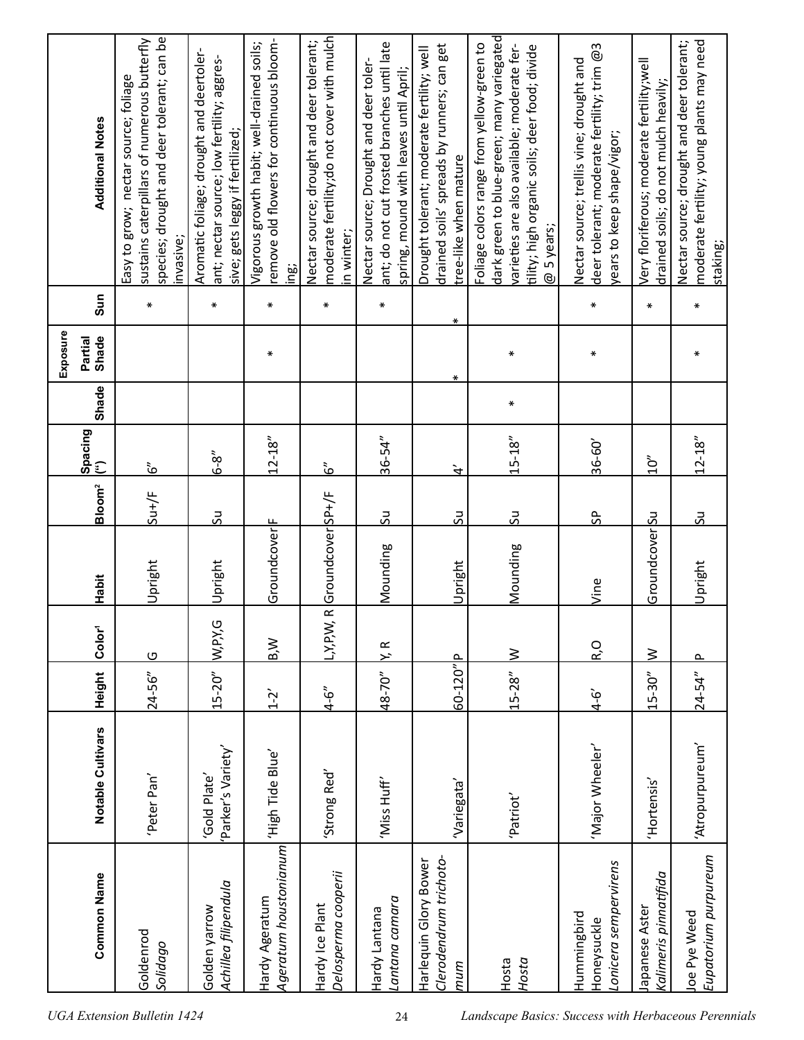| <b>Additional Notes</b>      | species; drought and deer tolerant; can be<br>sustains caterpillars of numerous butterfly<br>Easy to grow; nectar source; foliage<br>invasive; | Aromatic foliage; drought and deertoler-<br>ant; nectar source; low fertility; aggres-<br>sive; gets leggy if fertilized; | remove old flowers for continuous bloom-<br>/igorous growth habit; well-drained soils;<br>ing: | moderate fertility;do not cover with mulch<br>Nectar source; drought and deer tolerant;<br>in winter; | ant; do not cut frosted branches until late<br>Nectar source; Drought and deer toler-<br>spring, mound with leaves until April; | drained soils' spreads by runners; can get<br>Drought tolerant; moderate fertility; well<br>tree-like when mature | dark green to blue-green; many variegated<br>Foliage colors range from yellow-green to<br>varieties are also available; moderate fer-<br>tility; high organic soils; deer food; divide<br>@ 5 years; | deer tolerant; moderate fertility; trim @3<br>Nectar source; trellis vine; drought and<br>rears to keep shape/vigor; | Very floriferous; moderate fertility;well<br>drained soils; do not mulch heavily; | moderate fertility; young plants may need<br>Nectar source; drought and deer tolerant;<br>staking; |
|------------------------------|------------------------------------------------------------------------------------------------------------------------------------------------|---------------------------------------------------------------------------------------------------------------------------|------------------------------------------------------------------------------------------------|-------------------------------------------------------------------------------------------------------|---------------------------------------------------------------------------------------------------------------------------------|-------------------------------------------------------------------------------------------------------------------|------------------------------------------------------------------------------------------------------------------------------------------------------------------------------------------------------|----------------------------------------------------------------------------------------------------------------------|-----------------------------------------------------------------------------------|----------------------------------------------------------------------------------------------------|
| Sun                          | $\ast$                                                                                                                                         | ∗                                                                                                                         | $\ast$                                                                                         | $\ast$                                                                                                | ∗                                                                                                                               | ∗                                                                                                                 |                                                                                                                                                                                                      | $\ast$                                                                                                               | $\ast$                                                                            | ₩                                                                                                  |
| Exposure<br>Partial<br>Shade |                                                                                                                                                |                                                                                                                           | ∗                                                                                              |                                                                                                       |                                                                                                                                 | ∗                                                                                                                 | ₩                                                                                                                                                                                                    | ∗                                                                                                                    |                                                                                   | ⋇                                                                                                  |
| Shade                        |                                                                                                                                                |                                                                                                                           |                                                                                                |                                                                                                       |                                                                                                                                 |                                                                                                                   | ₩                                                                                                                                                                                                    |                                                                                                                      |                                                                                   |                                                                                                    |
| Spacing<br>(")               | $\tilde{6}'$                                                                                                                                   | `ა<br>ს                                                                                                                   | $12 - 18"$                                                                                     | <u>ئی</u>                                                                                             | $36 - 54"$                                                                                                                      | $\dot{\vec{r}}$                                                                                                   | $15 - 18"$                                                                                                                                                                                           | 36-60'                                                                                                               | $\sum_{i=1}^{n}$                                                                  | $12 - 18"$                                                                                         |
| Bloom <sup>2</sup>           | $S^{\text{u+}}/F$                                                                                                                              | <u>us</u>                                                                                                                 |                                                                                                |                                                                                                       | 50                                                                                                                              | 52                                                                                                                | 50                                                                                                                                                                                                   | $\frac{6}{5}$                                                                                                        |                                                                                   | 50                                                                                                 |
| Habit                        | Upright                                                                                                                                        | Upright                                                                                                                   | Groundcover                                                                                    | Groundcover SP+/F                                                                                     | Mounding                                                                                                                        | Upright                                                                                                           | Mounding                                                                                                                                                                                             | Vine                                                                                                                 | GroundcoverSu                                                                     | Upright                                                                                            |
| Color <sup>1</sup>           | $\circ$                                                                                                                                        | W, P, Y, G                                                                                                                | B,W                                                                                            | $\overline{\mathbf{R}}$<br>L,Y,P,W,                                                                   | K R                                                                                                                             |                                                                                                                   | <u>&gt;</u>                                                                                                                                                                                          | R,O                                                                                                                  | $\geq$                                                                            | $\sim$                                                                                             |
| <b>Height</b>                | $24 - 56''$                                                                                                                                    | $15 - 20''$                                                                                                               | $1 - 2$                                                                                        | $4 - 6$                                                                                               | 48-70"                                                                                                                          | 60-120"P                                                                                                          | $15 - 28"$                                                                                                                                                                                           | $4 - 6'$                                                                                                             | $15 - 30"$                                                                        | $24 - 54"$                                                                                         |
| Notable Cultivars            | Peter Pan'                                                                                                                                     | 'Parker's Variety'<br>'Gold Plate'                                                                                        | 'High Tide Blue'                                                                               | 'Strong Red'                                                                                          | 'Miss Huff'                                                                                                                     | 'Variegata'                                                                                                       | 'Patriot'                                                                                                                                                                                            | 'Major Wheeler'                                                                                                      | 'Hortensis'                                                                       | 'Atropurpureum'                                                                                    |
| <b>Common Name</b>           | Goldenrod<br>Solidago                                                                                                                          | Achillea filipendula<br>Golden yarrow                                                                                     | Ageratum houstonianum<br>Hardy Ageratum                                                        | Delosperma cooperii<br>Hardy Ice Plant                                                                | Lantana camara<br>Hardy Lantana                                                                                                 | Clerodendrum trichoto-<br>Harlequin Glory Bower<br>mum                                                            | Hosta<br>Hosta                                                                                                                                                                                       | onicera sempervirens<br>Hummingbird<br>Honeysuckle                                                                   | Kalimeris pinnatifida<br>lapanese Aster                                           | Eupatorium purpureum<br>Joe Pye Weed                                                               |
|                              | <b>UGA Extension Bulletin 1424</b>                                                                                                             |                                                                                                                           |                                                                                                |                                                                                                       | 24                                                                                                                              |                                                                                                                   | Landscape Basics: Success with Herbaceous Perennials                                                                                                                                                 |                                                                                                                      |                                                                                   |                                                                                                    |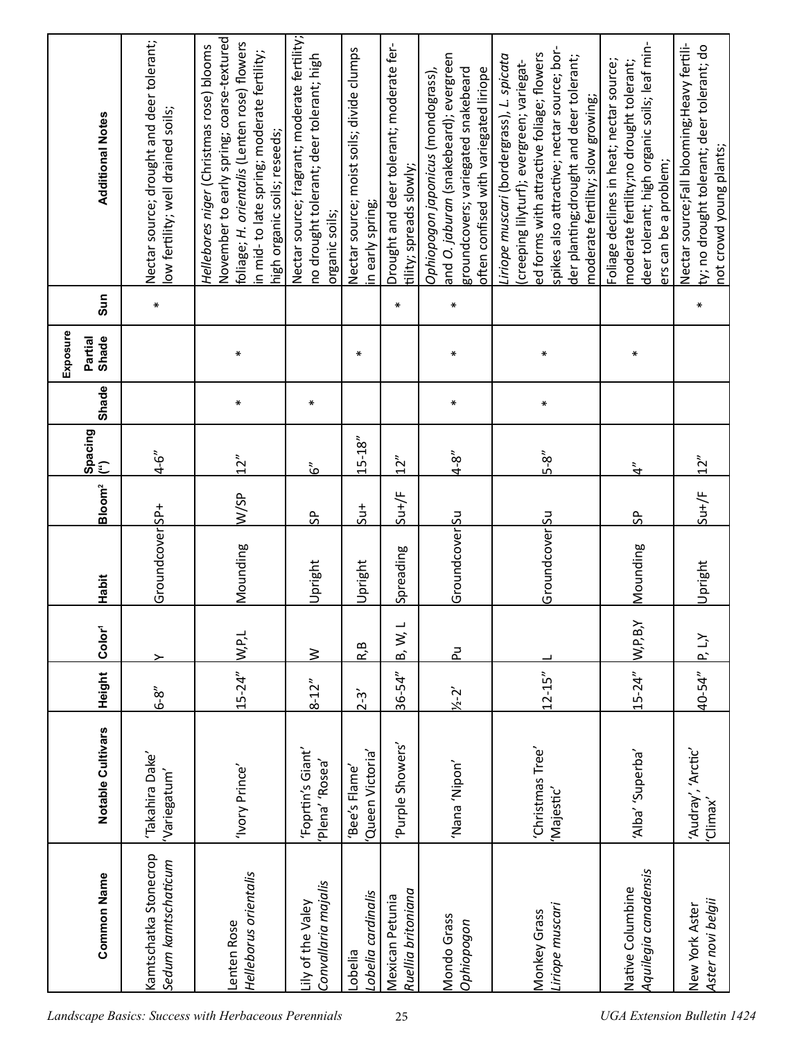| <b>Additional Notes</b>      | Nectar source; drought and deer tolerant;<br>low fertility; well drained soils; | November to early spring; coarse-textured<br>foliage; H. orientalis (Lenten rose) flowers<br>Hellebores niger (Christmas rose) blooms<br>in mid-to late spring; moderate fertility;<br>high organic soils; reseeds; | Nectar source; fragrant; moderate fertility;<br>no drought tolerant; deer tolerant; high<br>organic soils; | Nectar source; moist soils; divide clumps<br>in early spring; | Drought and deer tolerant; moderate fer-<br>tility; spreads slowly; | and O. jaburan (snakebeard); evergreen<br>groundcovers; variegated snakebeard<br>often confised with variegated liriope<br>Ophiopogon japonicus (mondograss), | spikes also attractive; nectar source; bor-<br>ed forms with attractive foliage; flowers<br>Liriope muscari (bordergrass), L. spicata<br>der planting; drought and deer tolerant;<br>(creeping lilyturf); evergreen; variegat-<br>moderate fertility; slow growing; | deer tolerant; high organic soils; leaf min-<br>Foliage declines in heat; nectar source;<br>moderate fertility;no drought tolerant;<br>ers can be a problem; | Nectar source;Fall blooming;Heavy fertili-<br>ty; no drought tolerant; deer tolerant; do<br>not crowd young plants; |
|------------------------------|---------------------------------------------------------------------------------|---------------------------------------------------------------------------------------------------------------------------------------------------------------------------------------------------------------------|------------------------------------------------------------------------------------------------------------|---------------------------------------------------------------|---------------------------------------------------------------------|---------------------------------------------------------------------------------------------------------------------------------------------------------------|---------------------------------------------------------------------------------------------------------------------------------------------------------------------------------------------------------------------------------------------------------------------|--------------------------------------------------------------------------------------------------------------------------------------------------------------|---------------------------------------------------------------------------------------------------------------------|
| Sun                          | $\ast$                                                                          |                                                                                                                                                                                                                     |                                                                                                            |                                                               | $\ast$                                                              | $\pmb{\ast}$                                                                                                                                                  |                                                                                                                                                                                                                                                                     |                                                                                                                                                              | $\ast$                                                                                                              |
| Exposure<br>Partial<br>Shade |                                                                                 | ∗                                                                                                                                                                                                                   |                                                                                                            | ∗                                                             |                                                                     | $\ast$                                                                                                                                                        | ₩                                                                                                                                                                                                                                                                   | ⋇                                                                                                                                                            |                                                                                                                     |
| <b>Shade</b>                 |                                                                                 | ∗                                                                                                                                                                                                                   | ₩                                                                                                          |                                                               |                                                                     | ₩                                                                                                                                                             | ₩                                                                                                                                                                                                                                                                   |                                                                                                                                                              |                                                                                                                     |
| Spacing<br>(")               | $4 - 6''$                                                                       | $\frac{2}{3}$                                                                                                                                                                                                       | $\tilde{6}$                                                                                                | $15 - 18"$                                                    | 12"                                                                 | $4 - 8''$                                                                                                                                                     | $\frac{5}{3}$                                                                                                                                                                                                                                                       | $\ddot{\bm{\tau}}$                                                                                                                                           | 12''                                                                                                                |
| Bloom <sup>2</sup>           |                                                                                 | W/SP                                                                                                                                                                                                                | $\frac{6}{5}$                                                                                              | $\frac{1}{5}$                                                 | $S^{\mu +}/F$                                                       |                                                                                                                                                               |                                                                                                                                                                                                                                                                     | $\frac{a}{2}$                                                                                                                                                | $S^{\mu +}/F$                                                                                                       |
| Habit                        | Groundcover SP+                                                                 | Mounding                                                                                                                                                                                                            | Upright                                                                                                    | Upright                                                       | Spreading                                                           | Groundcover Su                                                                                                                                                | GroundcoverSu                                                                                                                                                                                                                                                       | Mounding                                                                                                                                                     | Upright                                                                                                             |
| Color <sup>1</sup>           |                                                                                 | W, P, L                                                                                                                                                                                                             | $\geq$                                                                                                     | R, B                                                          | B, W, L                                                             | 군                                                                                                                                                             |                                                                                                                                                                                                                                                                     | W.P,B,Y                                                                                                                                                      | k'i di                                                                                                              |
| Height                       | $6-8$                                                                           | $15 - 24"$                                                                                                                                                                                                          | $8 - 12''$                                                                                                 | $2 - 3'$                                                      | $36 - 54"$                                                          | $\frac{1}{2} - 2$                                                                                                                                             | $12 - 15''$                                                                                                                                                                                                                                                         | $15 - 24"$                                                                                                                                                   | 40-54"                                                                                                              |
| Notable Cultivars            | 'Takahira Dake'<br>'Variegatum'                                                 | 'Ivory Prince'                                                                                                                                                                                                      | 'Foprtin's Giant'<br>'Plena' 'Rosea'                                                                       | Queen Victoria'<br>'Bee's Flame'                              | Purple Showers'                                                     | 'NoqiN' ana                                                                                                                                                   | 'Christmas Tree'<br>Majestic'                                                                                                                                                                                                                                       | 'Alba' 'Superba'                                                                                                                                             | 'Audray', 'Arctic'<br>'Climax'                                                                                      |
| <b>Common Name</b>           | Kamtschatka Stonecrop<br>Sedum kamtschaticum                                    | Helleborus orientalis<br>Lenten Rose                                                                                                                                                                                | Convallaria majalis<br>Lily of the Valey                                                                   | Lobelia cardinalis<br>Lobelia                                 | Ruellia britoniana<br>Mexican Petunia                               | Mondo Grass<br>Ophiopogon                                                                                                                                     | Liriope muscari<br>Monkey Grass                                                                                                                                                                                                                                     | Aquilegia canadensis<br>Native Columbine                                                                                                                     | Aster novi belgii<br>New York Aster                                                                                 |
|                              |                                                                                 | Landscape Basics: Success with Herbaceous Perennials                                                                                                                                                                |                                                                                                            |                                                               | 25                                                                  |                                                                                                                                                               |                                                                                                                                                                                                                                                                     | <b>UGA Extension Bulletin 1424</b>                                                                                                                           |                                                                                                                     |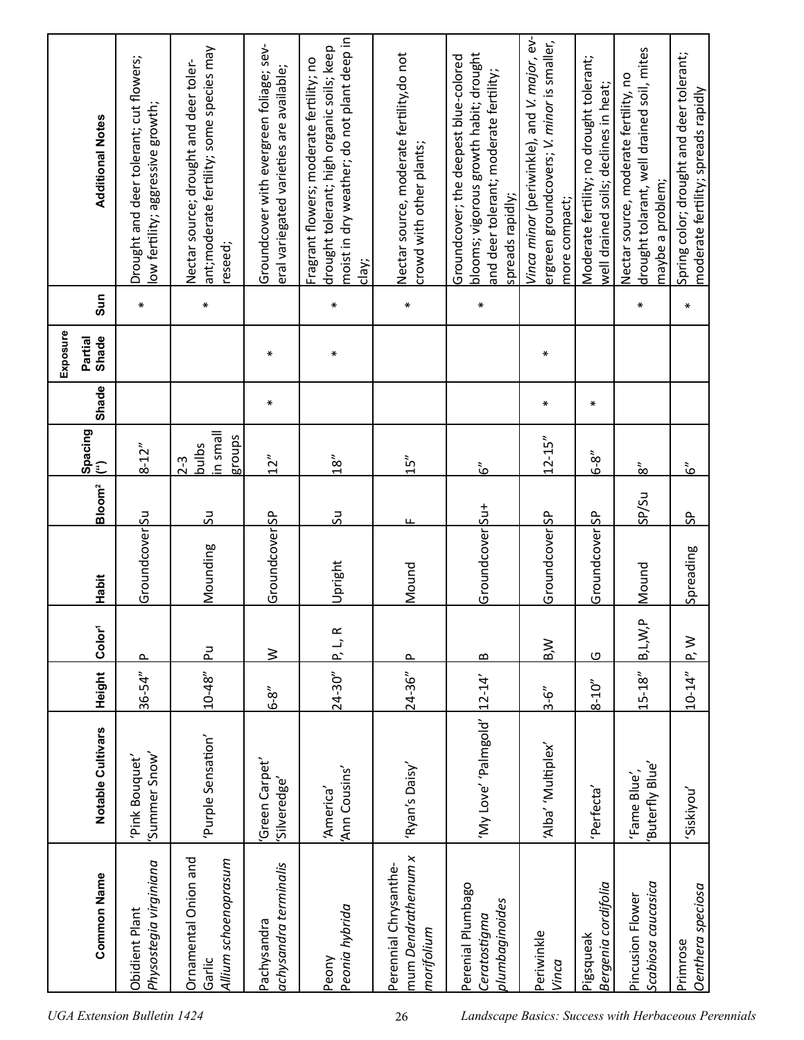|          | <b>Additional Notes</b> | Drought and deer tolerant; cut flowers;<br>ow fertility; aggressive growth; | ant;moderate fertility; some species may<br>Nectar source; drought and deer toler-<br>reseed; | Groundcover with evergreen foliage; sev-<br>eral variegated varieties are available; | moist in dry weather; do not plant deep in<br>drought tolerant; high organic soils; keep<br>Fragrant flowers; moderate fertility; no<br>clay; | Nectar source, moderate fertility, do not<br>crowd with other plants; | blooms; vigorous growth habit; drought<br>Groundcover; the deepest blue-colored<br>and deer tolerant; moderate fertility;<br>spreads rapidly; | Vinca minor (periwinkle), and V. major, ev-<br>ergreen groundcovers; V. minor is smaller,<br>more compact; | Moderate fertility; no drought tolerant;<br>well drained soils; declines in heat; | drought tolarant, well drained soil, mites<br>Nectar source, moderate fertility, no<br>maybe a problem; | Spring color; drought and deer tolerant;<br>moderate fertility; spreads rapidly |  |
|----------|-------------------------|-----------------------------------------------------------------------------|-----------------------------------------------------------------------------------------------|--------------------------------------------------------------------------------------|-----------------------------------------------------------------------------------------------------------------------------------------------|-----------------------------------------------------------------------|-----------------------------------------------------------------------------------------------------------------------------------------------|------------------------------------------------------------------------------------------------------------|-----------------------------------------------------------------------------------|---------------------------------------------------------------------------------------------------------|---------------------------------------------------------------------------------|--|
|          | Sun                     | $\ast$                                                                      | $\pmb{\ast}$                                                                                  |                                                                                      | $\ast$                                                                                                                                        | $\pmb{\ast}$                                                          | $\ast$                                                                                                                                        |                                                                                                            |                                                                                   | $\ast$                                                                                                  | $\ast$                                                                          |  |
| Exposure | Partial<br>Shade        |                                                                             |                                                                                               | ∗                                                                                    | ₩                                                                                                                                             |                                                                       |                                                                                                                                               | $\ast$                                                                                                     |                                                                                   |                                                                                                         |                                                                                 |  |
|          | <b>Shade</b>            |                                                                             |                                                                                               | $\ast$                                                                               |                                                                                                                                               |                                                                       |                                                                                                                                               | ∗                                                                                                          | ∗                                                                                 |                                                                                                         |                                                                                 |  |
|          | Spacing<br>(")          | $8 - 12"$                                                                   | llems ni<br>stonbs<br>bulbs<br>$2 - 3$                                                        | 12''                                                                                 | 18''                                                                                                                                          | 15"                                                                   | $\tilde{6}$                                                                                                                                   | $12 - 15''$                                                                                                | $6 - 8''$                                                                         | $\frac{3}{8}$                                                                                           | $\tilde{\mathcal{S}}$                                                           |  |
|          | Bloom <sup>2</sup>      |                                                                             | <u>50</u>                                                                                     |                                                                                      | <u>50</u>                                                                                                                                     | щ                                                                     |                                                                                                                                               |                                                                                                            |                                                                                   | SP/Su                                                                                                   | ჭ.                                                                              |  |
|          | Habit                   | Groundcover <sup>Su</sup>                                                   | Mounding                                                                                      | Groundcover SP                                                                       | Upright                                                                                                                                       | Mound                                                                 | Groundcover Su+                                                                                                                               | GroundcoverSP                                                                                              | GroundcoverSP                                                                     | Mound                                                                                                   | Spreading                                                                       |  |
|          | Color <sup>1</sup>      | ௳                                                                           | 군                                                                                             | $\geq$                                                                               | P, L, R                                                                                                                                       | ௳                                                                     | ≃                                                                                                                                             | B,W                                                                                                        | $\Omega$                                                                          | B, L, W, P                                                                                              | ≷<br>$\sim$                                                                     |  |
|          | Height                  | $36 - 54"$                                                                  | $10 - 48"$                                                                                    | $6 - 8$                                                                              | $24 - 30''$                                                                                                                                   | $24 - 36"$                                                            |                                                                                                                                               | $3 - 6''$                                                                                                  | $8 - 10''$                                                                        | $15 - 18"$                                                                                              | $10 - 14"$                                                                      |  |
|          | Notable Cultivars       | 'Summer Snow'<br>Pink Bouquet'                                              | 'Purple Sensation'                                                                            | Green Carpet'<br>'Silveredge'                                                        | 'Ann Cousins'<br>'America'                                                                                                                    | 'Ryan's Daisy'                                                        | 'My Love' 'Palmgold'  12-14'                                                                                                                  | 'Alba' 'Multiplex'                                                                                         | Perfecta'                                                                         | Buterfly Blue'<br>'Fame Blue',                                                                          | 'Siskiyou                                                                       |  |
|          | <b>Common Name</b>      | Physostegia virginiana<br><b>Obidient Plant</b>                             | Ornamental Onion and<br>Allium schoenoprasum<br>Garlic                                        | achysandra terminalis<br>Pachysandra                                                 | Peonia hybrida<br>Peony                                                                                                                       | mum Dendrathemum x<br>Perennial Chrysanthe-<br>morifolium             | Perenial Plumbago<br>plumbaginoides<br>Ceratostigma                                                                                           | Periwinkle<br>Vinca                                                                                        | Bergenia cordifolia<br>Pigsqueak                                                  | Scabiosa caucasica<br>Pincusion Flower                                                                  | <b>Denthera</b> speciosa<br>Primrose                                            |  |
|          |                         | <b>UGA Extension Bulletin 1424</b>                                          |                                                                                               |                                                                                      |                                                                                                                                               | 26                                                                    | Landscape Basics: Success with Herbaceous Perennials                                                                                          |                                                                                                            |                                                                                   |                                                                                                         |                                                                                 |  |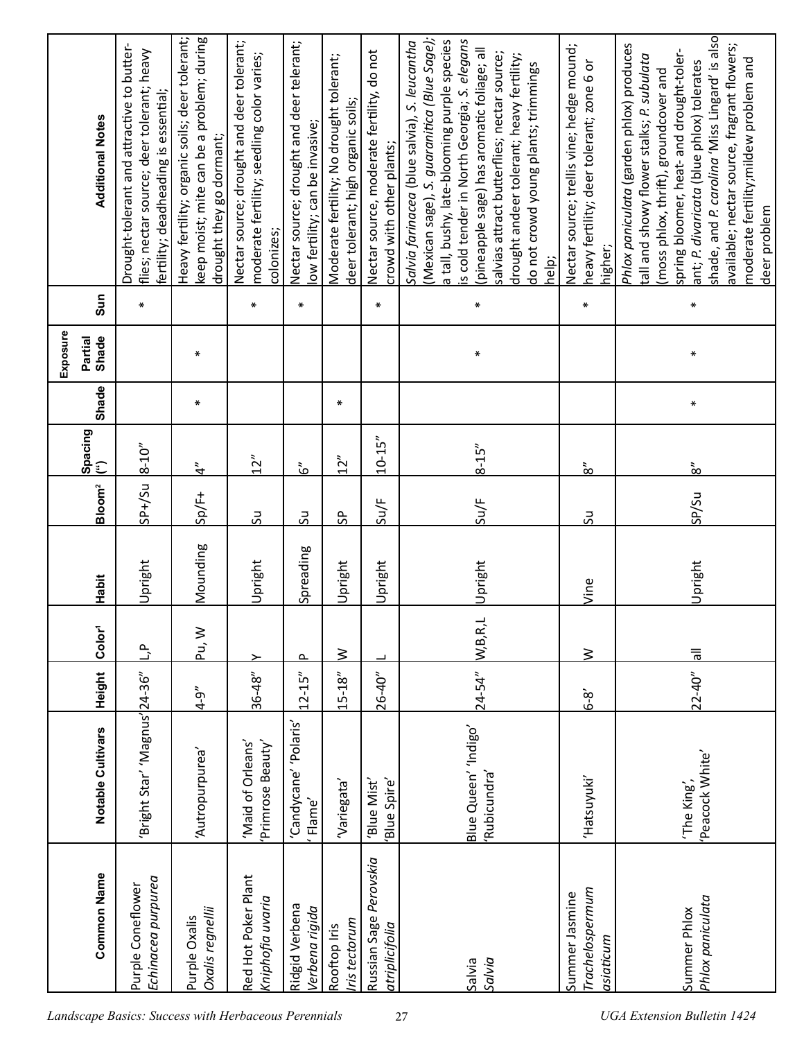|          | <b>Additional Notes</b> | Drought-tolerant and attractive to butter-<br>flies; nectar source; deer tolerant; heavy<br>fertility; deadheading is essential; | Heavy fertility; organic soils; deer tolerant;<br>keep moist; mite can be a problem; during<br>drought they go dormant; | Nectar source; drought and deer tolerant;<br>moderate fertility; seedling color varies;<br>colonizes; | Nectar source; drought and deer telerant;<br>low fertility; can be invasive; | Moderate fertility; No drought tolerant;<br>deer tolerant; high organic soils; | Nectar source, moderate fertility, do not<br>crowd with other plants; | (Mexican sage), S. guaranitica (Blue Sage);<br>is cold tender in North Georgia; S. elegans<br>a tall, bushy, late-blooming purple species<br>Salvia farinacea (blue salvia), S. leucantha<br>(pineapple sage) has aromatic foliage; all<br>salvias attract butterflies; nectar source;<br>drought andeer tolerant; heavy fertility;<br>do not crowd young plants; trimmings<br>help; | Nectar source; trellis vine; hedge mound;<br>heavy fertility; deer tolerant; zone 6 or<br>higher; | shade, and P. carolina 'Miss Lingard' is also<br>Phlox paniculata (garden phlox) produces<br>available; nectar source, fragrant flowers;<br>spring bloomer, heat- and drought-toler-<br>tall and showy flower stalks; P. subulata<br>moderate fertility; mildew problem and<br>ant; P. divaricata (blue phlox) tolerates<br>(moss phlox, thrift), groundcover and<br>deer problem |
|----------|-------------------------|----------------------------------------------------------------------------------------------------------------------------------|-------------------------------------------------------------------------------------------------------------------------|-------------------------------------------------------------------------------------------------------|------------------------------------------------------------------------------|--------------------------------------------------------------------------------|-----------------------------------------------------------------------|--------------------------------------------------------------------------------------------------------------------------------------------------------------------------------------------------------------------------------------------------------------------------------------------------------------------------------------------------------------------------------------|---------------------------------------------------------------------------------------------------|-----------------------------------------------------------------------------------------------------------------------------------------------------------------------------------------------------------------------------------------------------------------------------------------------------------------------------------------------------------------------------------|
|          | Sun                     | $\ast$                                                                                                                           |                                                                                                                         | $\ast$                                                                                                | $\ast$                                                                       |                                                                                | $\ast$                                                                | $\ast$                                                                                                                                                                                                                                                                                                                                                                               | $\ast$                                                                                            | $\ast$                                                                                                                                                                                                                                                                                                                                                                            |
| Exposure | Partial<br>Shade        |                                                                                                                                  | ∗                                                                                                                       |                                                                                                       |                                                                              |                                                                                |                                                                       | ∗                                                                                                                                                                                                                                                                                                                                                                                    |                                                                                                   | ₩                                                                                                                                                                                                                                                                                                                                                                                 |
|          | Shade                   |                                                                                                                                  | ∗                                                                                                                       |                                                                                                       |                                                                              | $\ast$                                                                         |                                                                       |                                                                                                                                                                                                                                                                                                                                                                                      |                                                                                                   | ₩                                                                                                                                                                                                                                                                                                                                                                                 |
|          | Spacing<br>(")          | $8 - 10''$                                                                                                                       | $\tilde{f}$                                                                                                             | 12"                                                                                                   | ڞ                                                                            | 12"                                                                            | $10 - 15''$                                                           | $8 - 15''$                                                                                                                                                                                                                                                                                                                                                                           | $\frac{3}{8}$                                                                                     | $\frac{3}{8}$                                                                                                                                                                                                                                                                                                                                                                     |
|          | Bloom <sup>2</sup>      | $5P+/SU$                                                                                                                         | $Sp/F+$                                                                                                                 | ξÓ                                                                                                    | ΩŚ                                                                           | $\sqrt{5}$                                                                     | Su/F                                                                  | $\frac{SUF}{E}$                                                                                                                                                                                                                                                                                                                                                                      | 50                                                                                                | SP/Su                                                                                                                                                                                                                                                                                                                                                                             |
|          | Habit                   | Upright                                                                                                                          | Mounding                                                                                                                | Upright                                                                                               | Spreading                                                                    | Upright                                                                        | Upright                                                               | Upright                                                                                                                                                                                                                                                                                                                                                                              | Vine                                                                                              | Upright                                                                                                                                                                                                                                                                                                                                                                           |
|          | Color <sup>1</sup>      | $\mathbf{r}$                                                                                                                     | Pu, W                                                                                                                   | ≻                                                                                                     | $\sim$                                                                       | $\geq$                                                                         |                                                                       | W,B,R,L                                                                                                                                                                                                                                                                                                                                                                              | $\geq$                                                                                            | $\overline{\overline{5}}$                                                                                                                                                                                                                                                                                                                                                         |
|          | Height                  |                                                                                                                                  | $4 - 9''$                                                                                                               | $36 - 48"$                                                                                            | $12 - 15''$                                                                  | $15 - 18"$                                                                     | $26 - 40"$                                                            | $24 - 54"$                                                                                                                                                                                                                                                                                                                                                                           | $6-8$                                                                                             | $22 - 40"$                                                                                                                                                                                                                                                                                                                                                                        |
|          | Notable Cultivars       | 'Bright Star' 'Magnus' 24-36"                                                                                                    | 'Autropurpurea'                                                                                                         | 'Maid of Orleans'<br>Primrose Beauty'                                                                 | 'Candycane' 'Polaris'<br>'Flame'                                             | 'Variegata'                                                                    | 'Blue Mist'<br>Blue Spire'                                            | Blue Queen' 'Indigo'<br>'Rubicundra'                                                                                                                                                                                                                                                                                                                                                 | 'Hatsuyuki'                                                                                       | 'Peacock White'<br>'The King',                                                                                                                                                                                                                                                                                                                                                    |
|          | <b>Common Name</b>      | Echinacea purpurea<br>Purple Coneflower                                                                                          | Oxalis regnellii<br>Purple Oxalis                                                                                       | Red Hot Poker Plant<br>Kniphofia uvaria                                                               | Ridgid Verbena<br>Verbena rigida                                             | ris tectorum<br>Rooftop Iris                                                   | Russian Sage Perovskia<br>atriplicifolia                              | Salvia<br>Salvia                                                                                                                                                                                                                                                                                                                                                                     | Trachelospermum<br>Summer Jasmine<br>asiaticum                                                    | Phlox paniculata<br>Summer Phlox                                                                                                                                                                                                                                                                                                                                                  |
|          |                         |                                                                                                                                  | Landscape Basics: Success with Herbaceous Perennials                                                                    |                                                                                                       |                                                                              |                                                                                |                                                                       | 27                                                                                                                                                                                                                                                                                                                                                                                   |                                                                                                   | <b>UGA Extension Bulletin 1424</b>                                                                                                                                                                                                                                                                                                                                                |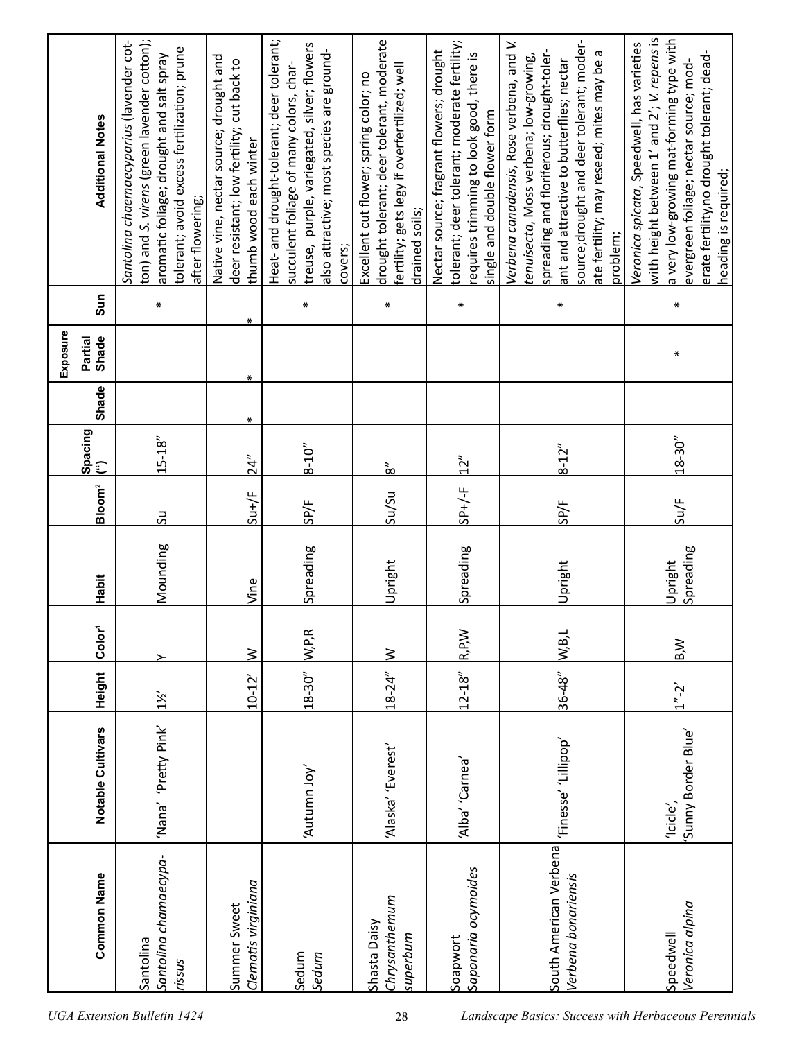|          | <b>Additional Notes</b>                         | ton) and S. virens (green lavender cotton);<br>Santolina chaemaecyparius (lavender cot-<br>tolerant; avoid excess fertilization; prune<br>aromatic foliage; drought and salt spray<br>after flowering; | Native vine, nectar source; drought and<br>deer resistant; low fertility; cut back to<br>thumb wood each winter | Heat- and drought-tolerant; deer tolerant;<br>treuse, purple, variegated, silver; flowers<br>also attractive; most species are ground-<br>succulent foliage of many colors, char-<br>covers; | drought tolerant; deer tolerant, moderate<br>fertility; gets legy if overfertilized; well<br>Excellent cut flower; spring color; no<br>drained soils; | tolerant; deer tolerant; moderate fertility;<br>Nectar source; fragrant flowers; drought<br>requires trimming to look good, there is<br>single and double flower form | source; drought and deer tolerant; moder-<br>Verbena canadensis, Rose verbena, and V.<br>spreading and floriferous; drought-toler-<br>ate fertility; may reseed; mites may be a<br>tenuisecta, Moss verbena; low-growing,<br>ant and attractive to butterflies; nectar<br>problem; | with height between 1' and 2'; V. repens is<br>a very low-growing mat-forming type with<br>Veronica spicata, Speedwell, has varieties<br>erate fertility,no drought tolerant; dead-<br>evergreen foliage; nectar source; mod-<br>heading is required; |
|----------|-------------------------------------------------|--------------------------------------------------------------------------------------------------------------------------------------------------------------------------------------------------------|-----------------------------------------------------------------------------------------------------------------|----------------------------------------------------------------------------------------------------------------------------------------------------------------------------------------------|-------------------------------------------------------------------------------------------------------------------------------------------------------|-----------------------------------------------------------------------------------------------------------------------------------------------------------------------|------------------------------------------------------------------------------------------------------------------------------------------------------------------------------------------------------------------------------------------------------------------------------------|-------------------------------------------------------------------------------------------------------------------------------------------------------------------------------------------------------------------------------------------------------|
|          | Sun                                             | $\pmb{\ast}$                                                                                                                                                                                           | ∗                                                                                                               | $\ast$                                                                                                                                                                                       | ⋇                                                                                                                                                     | $\ast$                                                                                                                                                                | $\ast$                                                                                                                                                                                                                                                                             | $\ast$                                                                                                                                                                                                                                                |
| Exposure | Partial<br>Shade                                |                                                                                                                                                                                                        | ∗                                                                                                               |                                                                                                                                                                                              |                                                                                                                                                       |                                                                                                                                                                       |                                                                                                                                                                                                                                                                                    | ∗                                                                                                                                                                                                                                                     |
|          | <b>Shade</b>                                    |                                                                                                                                                                                                        | ∗                                                                                                               |                                                                                                                                                                                              |                                                                                                                                                       |                                                                                                                                                                       |                                                                                                                                                                                                                                                                                    |                                                                                                                                                                                                                                                       |
|          | $\left \frac{\text{Spacing}}{\text{op}}\right $ | $15 - 18"$                                                                                                                                                                                             | 24''                                                                                                            | $8 - 10''$                                                                                                                                                                                   | $\frac{3}{8}$                                                                                                                                         | 12"                                                                                                                                                                   | $8 - 12''$                                                                                                                                                                                                                                                                         | $18 - 30"$                                                                                                                                                                                                                                            |
|          | Bloom <sup>2</sup>                              | <u>კ</u>                                                                                                                                                                                               | $S u + /F$                                                                                                      | SP/F                                                                                                                                                                                         | su/su                                                                                                                                                 | $3P+/-F$                                                                                                                                                              | SP/F                                                                                                                                                                                                                                                                               | Su/F                                                                                                                                                                                                                                                  |
|          | <b>Habit</b>                                    | Mounding                                                                                                                                                                                               | Vine                                                                                                            | Spreading                                                                                                                                                                                    | Upright                                                                                                                                               | Spreading                                                                                                                                                             | Upright                                                                                                                                                                                                                                                                            | Spreading<br>Upright                                                                                                                                                                                                                                  |
|          | Color <sup>1</sup>                              |                                                                                                                                                                                                        | $\geq$                                                                                                          | W,PR                                                                                                                                                                                         | <u>≳</u>                                                                                                                                              | R, P, W                                                                                                                                                               | W,B,L                                                                                                                                                                                                                                                                              | B,W                                                                                                                                                                                                                                                   |
|          | Height                                          | $1\frac{1}{2}$                                                                                                                                                                                         | $10 - 12'$                                                                                                      | $18 - 30"$                                                                                                                                                                                   | $18 - 24"$                                                                                                                                            | $12 - 18''$                                                                                                                                                           | $36 - 48"$                                                                                                                                                                                                                                                                         | $1'' - 2'$                                                                                                                                                                                                                                            |
|          | Notable Cultivars                               | 'Nana' 'Pretty Pink'                                                                                                                                                                                   |                                                                                                                 | 'Autumn Joy'                                                                                                                                                                                 | 'Alaska' 'Everest'                                                                                                                                    | 'Alba' 'Carnea'                                                                                                                                                       | 'Finesse' 'Lillipop'                                                                                                                                                                                                                                                               | Sunny Border Blue'<br>'Icicle',                                                                                                                                                                                                                       |
|          | <b>Common Name</b>                              | Santolina chamaecypa-<br>Santolina<br>rissus                                                                                                                                                           | Clematis virginiana<br>Summer Sweet                                                                             | Sedum<br>Sedum                                                                                                                                                                               | Chrysanthemum<br>Shasta Daisy<br>superbum                                                                                                             | Saponaria ocymoides<br>Soapwort                                                                                                                                       | South American Verbena<br>Verbena bonariensis                                                                                                                                                                                                                                      | Veronica alpina<br>Speedwell                                                                                                                                                                                                                          |
|          |                                                 | <b>UGA Extension Bulletin 1424</b>                                                                                                                                                                     |                                                                                                                 |                                                                                                                                                                                              | 28                                                                                                                                                    |                                                                                                                                                                       | Landscape Basics: Success with Herbaceous Perennials                                                                                                                                                                                                                               |                                                                                                                                                                                                                                                       |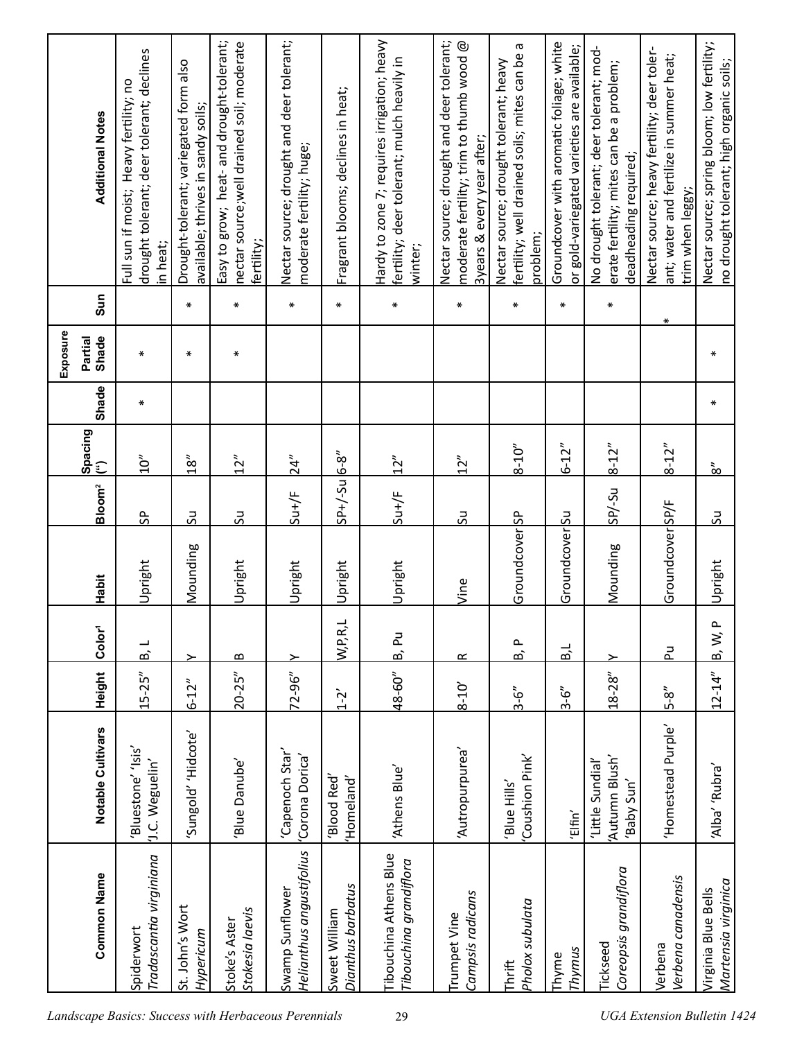| Exposure | <b>Additional Notes</b><br>Sun<br>Partial<br>Shade<br>Shade<br>Spacing<br>(") | drought tolerant; deer tolerant; declines<br>Heavy fertility; no<br>Full sun if moist;<br>in heat;<br>$\ast$<br>$\ast$<br>$\sum_{i=1}^{n}$ | Drought-tolerant; variegated form also<br>available; thrives in sandy soils;<br>$\ast$<br>$\ast$<br>18'' | nectar source; well drained soil; moderate<br>Easy to grow; heat- and drought-tolerant;<br>fertility;<br>$\ast$<br>∗<br>12" | Nectar source; drought and deer tolerant;<br>moderate fertility; huge;<br>$\ast$<br>24" | Fragrant blooms; declines in heat;<br>$\ast$ | Hardy to zone 7; requires irrigation; heavy<br>fertility; deer tolerant; mulch heavily in<br>winter;<br>$\ast$<br>12'' | Nectar source; drought and deer tolerant;<br>moderate fertility; trim to thumb wood $@$<br>3years & every year after;<br>$\ast$<br>12'' | fertility; well drained soils; mites can be<br>Nectar source; drought tolerant; heavy<br>problem;<br>$\ast$<br>$8 - 10''$ | Groundcover with aromatic foliage; white<br>or gold-variegated varieties are available;<br>$\ast$<br>$6 - 12"$ | No drought tolerant; deer tolerant; mod-<br>erate fertility; mites can be a problem;<br>deadheading required;<br>$\ast$<br>$8 - 12"$ | Nectar source; heavy fertility; deer toler-<br>ant; water and fertilize in summer heat;<br>trim when leggy;<br>⋇<br>$8 - 12"$ | Nectar source; spring bloom; low fertility;<br>no drought tolerant; high organic soils;<br>$\ast$<br>∗<br>$\frac{3}{8}$ |
|----------|-------------------------------------------------------------------------------|--------------------------------------------------------------------------------------------------------------------------------------------|----------------------------------------------------------------------------------------------------------|-----------------------------------------------------------------------------------------------------------------------------|-----------------------------------------------------------------------------------------|----------------------------------------------|------------------------------------------------------------------------------------------------------------------------|-----------------------------------------------------------------------------------------------------------------------------------------|---------------------------------------------------------------------------------------------------------------------------|----------------------------------------------------------------------------------------------------------------|--------------------------------------------------------------------------------------------------------------------------------------|-------------------------------------------------------------------------------------------------------------------------------|-------------------------------------------------------------------------------------------------------------------------|
|          | Bloom <sup>2</sup>                                                            | ၛၟ<br>Upright                                                                                                                              | 50<br>Mounding                                                                                           | 50<br>Upright                                                                                                               | $S^{\mu +}/F$<br>Upright                                                                | $SP+/-$ Su $6-8''$<br>Upright                | $S^{\mu +}/F$<br>Upright                                                                                               | 50                                                                                                                                      | Groundcover SP                                                                                                            | GroundcoverSu                                                                                                  | $105 - \text{S}$<br>Mounding                                                                                                         | Groundcover SP/F                                                                                                              | <u>კ</u><br>Upright                                                                                                     |
|          | Habit<br>Color <sup>1</sup><br>Height                                         | ┙<br>ம்<br>$15 - 25''$                                                                                                                     | ≻                                                                                                        | $\bf{m}$<br>$20 - 25''$                                                                                                     | <u>&gt;</u><br>$72 - 96''$                                                              | W,P,R,L                                      | ΡJ<br>В,<br>48-60"                                                                                                     | Vine<br>œ                                                                                                                               | $\mathbf{r}$<br>B,                                                                                                        | B, L                                                                                                           | ≻<br>$18 - 28"$                                                                                                                      | 군                                                                                                                             | $\sim$<br>$\dot{\mathsf{z}}$<br><b>b</b><br>$12 - 14"$                                                                  |
|          | Notable Cultivars                                                             | Bluestone' 'Isis'<br>'J.C. Weguelin'                                                                                                       | $6 - 12"$<br>'Sungold' 'Hidcote'                                                                         | Blue Danube'                                                                                                                | 'Capenoch Star'<br>'Corona Dorica'                                                      | $1 - 2$<br>'Blood Red'<br>'Homeland'         | 'Athens Blue'                                                                                                          | $8 - 10'$<br>'Autropurpurea'                                                                                                            | $3 - 6''$<br>Coushion Pink'<br>'Blue Hills'                                                                               | $3 - 6''$<br>'Elfin'                                                                                           | 'Autumn Blush'<br>'Little Sundial'<br>'Baby Sun'                                                                                     | $5 - 8$<br>'Homestead Purple'                                                                                                 | 'Alba' 'Rubra'                                                                                                          |
|          | <b>Common Name</b>                                                            | Tradascantia virginiana<br>Spiderwort                                                                                                      | St. John's Wort<br>Hypericum                                                                             | Stokesia laevis<br>Stoke's Aster                                                                                            | Helianthus angustifolius<br>Swamp Sunflower                                             | Dianthus barbatus<br>Sweet William           | <b>Tibouchina Athens Blue</b><br>Tibouchina grandiflora                                                                | Campsis radicans<br>Trumpet Vine                                                                                                        | Pholox subulata<br>Thrift                                                                                                 | Thymus<br>Thyme                                                                                                | Coreopsis grandiflora<br><b>Tickseed</b>                                                                                             | Verbena canadensis<br>Verbena                                                                                                 | Martensia virginica<br>Virginia Blue Bells                                                                              |